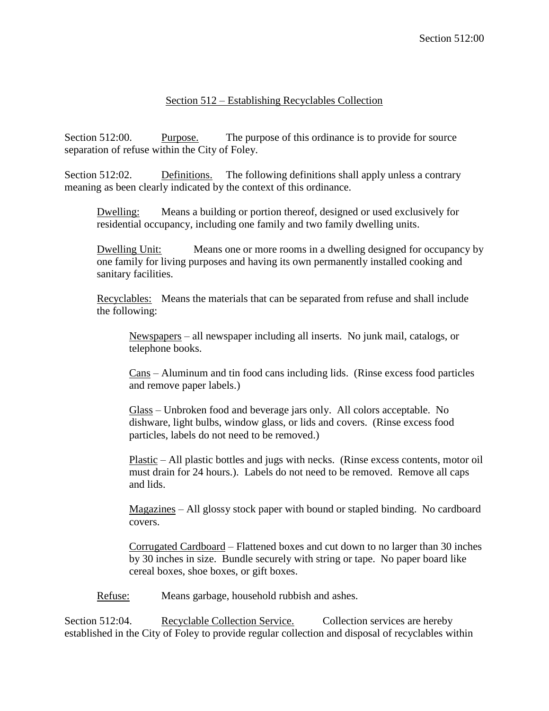## Section 512 – Establishing Recyclables Collection

Section 512:00. Purpose. The purpose of this ordinance is to provide for source separation of refuse within the City of Foley.

Section 512:02. Definitions. The following definitions shall apply unless a contrary meaning as been clearly indicated by the context of this ordinance.

Dwelling: Means a building or portion thereof, designed or used exclusively for residential occupancy, including one family and two family dwelling units.

Dwelling Unit: Means one or more rooms in a dwelling designed for occupancy by one family for living purposes and having its own permanently installed cooking and sanitary facilities.

Recyclables: Means the materials that can be separated from refuse and shall include the following:

Newspapers – all newspaper including all inserts. No junk mail, catalogs, or telephone books.

Cans – Aluminum and tin food cans including lids. (Rinse excess food particles and remove paper labels.)

Glass – Unbroken food and beverage jars only. All colors acceptable. No dishware, light bulbs, window glass, or lids and covers. (Rinse excess food particles, labels do not need to be removed.)

Plastic – All plastic bottles and jugs with necks. (Rinse excess contents, motor oil must drain for 24 hours.). Labels do not need to be removed. Remove all caps and lids.

Magazines – All glossy stock paper with bound or stapled binding. No cardboard covers.

Corrugated Cardboard – Flattened boxes and cut down to no larger than 30 inches by 30 inches in size. Bundle securely with string or tape. No paper board like cereal boxes, shoe boxes, or gift boxes.

Refuse: Means garbage, household rubbish and ashes.

Section 512:04. Recyclable Collection Service. Collection services are hereby established in the City of Foley to provide regular collection and disposal of recyclables within